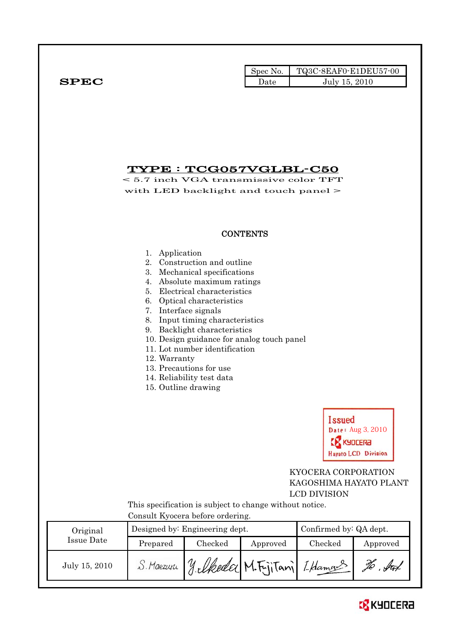|              | Spec No. $\blacksquare$ | $TQ3C-8EAF0-E1DEU57-00$ |
|--------------|-------------------------|-------------------------|
| ${\bf SPEC}$ | Date                    | July 15, 2010           |

# TYPE : TCG057VGLBL-C50

< 5.7 inch VGA transmissive color TFT with LED backlight and touch panel  $>$ 

## **CONTENTS**

#### 1. Application

- 2. Construction and outline
- 3. Mechanical specifications
- 4. Absolute maximum ratings
- 5. Electrical characteristics
- 6. Optical characteristics
- 7. Interface signals
- 8. Input timing characteristics
- 9. Backlight characteristics
- 10. Design guidance for analog touch panel
- 11. Lot number identification
- 12. Warranty
- 13. Precautions for use
- 14. Reliability test data
- 15. Outline drawing

**Issued** Date: Aug 3, 2010 **EX KYDCERA Hayato LCD Division** 

## KYOCERA CORPORATION KAGOSHIMA HAYATO PLANT LCD DIVISION

 This specification is subject to change without notice. Consult Kyocera before ordering.

| Original      | Designed by: Engineering dept. |                                           |          | Confirmed by: QA dept. |          |
|---------------|--------------------------------|-------------------------------------------|----------|------------------------|----------|
| Issue Date    | Prepared                       | Checked                                   | Approved | Checked                | Approved |
| July 15, 2010 |                                | S. Maezuru J. Medec M. Fijitani I. Hamans |          |                        |          |

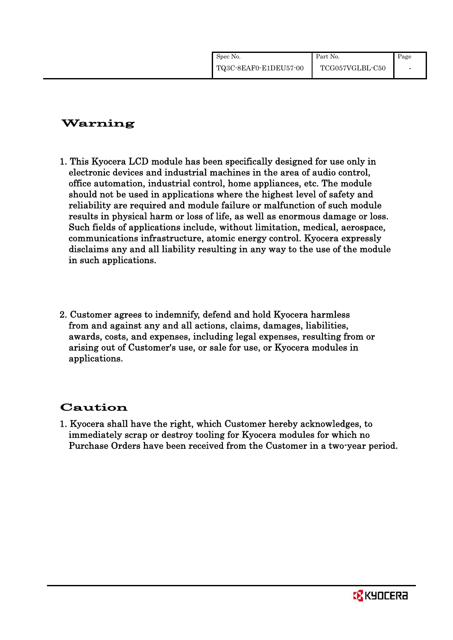| Spec No.              | Part No.        | Page |
|-----------------------|-----------------|------|
| TQ3C-8EAF0-E1DEU57-00 | TCG057VGLBL-C50 |      |

# Warning

- 1. This Kyocera LCD module has been specifically designed for use only in electronic devices and industrial machines in the area of audio control, office automation, industrial control, home appliances, etc. The module should not be used in applications where the highest level of safety and reliability are required and module failure or malfunction of such module results in physical harm or loss of life, as well as enormous damage or loss. Such fields of applications include, without limitation, medical, aerospace, communications infrastructure, atomic energy control. Kyocera expressly disclaims any and all liability resulting in any way to the use of the module in such applications.
- 2. Customer agrees to indemnify, defend and hold Kyocera harmless from and against any and all actions, claims, damages, liabilities, awards, costs, and expenses, including legal expenses, resulting from or arising out of Customer's use, or sale for use, or Kyocera modules in applications.

# Caution

1. Kyocera shall have the right, which Customer hereby acknowledges, to immediately scrap or destroy tooling for Kyocera modules for which no Purchase Orders have been received from the Customer in a two-year period.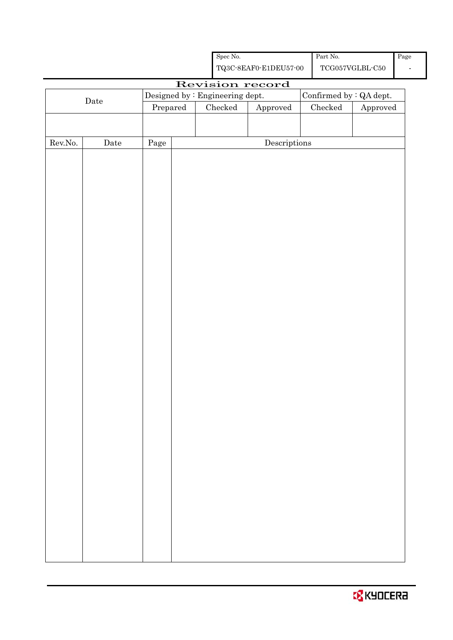| TQ3C-8EAF0-E1DEU57-00                                                       |                                | TCG057VGLBL-C50        |
|-----------------------------------------------------------------------------|--------------------------------|------------------------|
| Revision record                                                             |                                |                        |
| $\label{eq:besigneq} \text{Designed by : Engineering dept.}$<br>$\rm{Date}$ | Confirmed by $\colon$ QA dept. |                        |
| Prepared<br>Checked<br>Approved                                             | $\rm Checked$                  | ${\Large\bf Approved}$ |
|                                                                             |                                |                        |
|                                                                             |                                |                        |
| Rev.No.<br>$\label{eq:2} \textbf{Descriptions}$<br>$\rm{Date}$<br>Page      |                                |                        |
|                                                                             |                                |                        |
|                                                                             |                                |                        |
|                                                                             |                                |                        |
|                                                                             |                                |                        |
|                                                                             |                                |                        |
|                                                                             |                                |                        |
|                                                                             |                                |                        |
|                                                                             |                                |                        |
|                                                                             |                                |                        |
|                                                                             |                                |                        |
|                                                                             |                                |                        |
|                                                                             |                                |                        |
|                                                                             |                                |                        |
|                                                                             |                                |                        |
|                                                                             |                                |                        |
|                                                                             |                                |                        |
|                                                                             |                                |                        |
|                                                                             |                                |                        |
|                                                                             |                                |                        |
|                                                                             |                                |                        |
|                                                                             |                                |                        |
|                                                                             |                                |                        |
|                                                                             |                                |                        |
|                                                                             |                                |                        |
|                                                                             |                                |                        |
|                                                                             |                                |                        |
|                                                                             |                                |                        |
|                                                                             |                                |                        |
|                                                                             |                                |                        |
|                                                                             |                                |                        |
|                                                                             |                                |                        |
|                                                                             |                                |                        |
|                                                                             |                                |                        |
|                                                                             |                                |                        |

Spec No.

Page

Part No.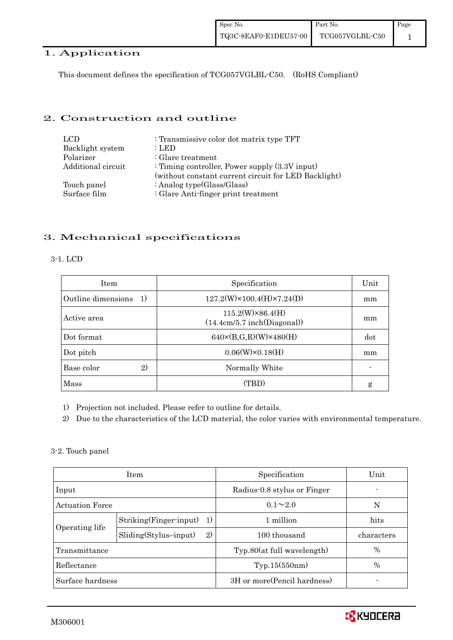### 1. Application

This document defines the specification of TCG057VGLBL-C50. (RoHS Compliant)

## 2. Construction and outline

| LCD.               | : Transmissive color dot matrix type TFT             |
|--------------------|------------------------------------------------------|
| Backlight system   | : LED                                                |
| Polarizer          | $\therefore$ Glare treatment                         |
| Additional circuit | : Timing controller, Power supply $(3.3V)$ input)    |
|                    | (without constant current circuit for LED Backlight) |
| Touch panel        | : Analog type $(Glass/Glass)$                        |
| Surface film       | : Glare Anti-finger print treatment                  |

# 3. Mechanical specifications

### 3-1. LCD

| <b>Item</b>                        | Specification                                          |     |
|------------------------------------|--------------------------------------------------------|-----|
| Outline dimensions<br><sup>1</sup> | $127.2(W)\times 100.4(H)\times 7.24(D)$                | mm  |
| Active area                        | $115.2(W)\times86.4(H)$<br>(14.4cm/5.7 inch(Diagonal)) | mm  |
| Dot format                         | $640\times(B,G,R)(W)\times480(H)$                      | dot |
| Dot pitch                          | $0.06(W) \times 0.18(H)$                               | mm  |
| 2)<br>Base color                   | Normally White                                         |     |
| Mass                               | (TBD)                                                  | g   |

1) Projection not included. Please refer to outline for details.

2) Due to the characteristics of the LCD material, the color varies with environmental temperature.

### 3-2. Touch panel

|                        | <b>Item</b>                   | Specification                | Unit       |
|------------------------|-------------------------------|------------------------------|------------|
| Input                  |                               | Radius-0.8 stylus or Finger  |            |
| <b>Actuation Force</b> |                               | $0.1 \sim 2.0$               | N          |
|                        | Striking(Finger-input)<br>1)  | 1 million                    | hits       |
| Operating life         | $Sliding(Stylus-input)$<br>2) | 100 thousand                 | characters |
| Transmittance          |                               | Typ.80(at full wavelength)   | $\%$       |
| Reflectance            |                               | Typ.15(550nm)                | $\%$       |
| Surface hardness       |                               | 3H or more (Pencil hardness) |            |

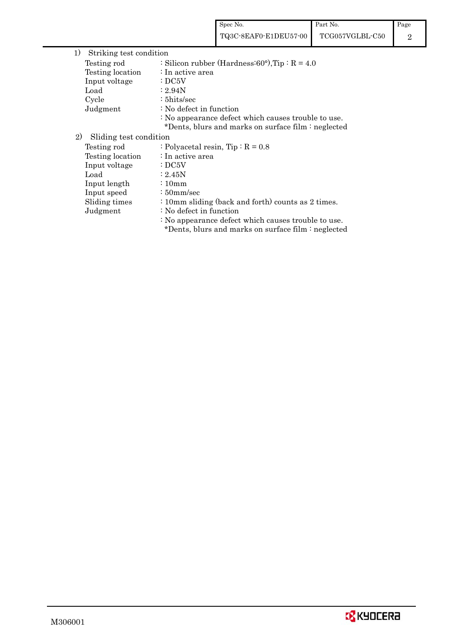|                               |                                     | TQ3C-8EAF0-E1DEU57-00                                                                                      | TCG057VGLBL-C50 |
|-------------------------------|-------------------------------------|------------------------------------------------------------------------------------------------------------|-----------------|
| 1)<br>Striking test condition |                                     |                                                                                                            |                 |
| Testing rod                   |                                     | : Silicon rubber (Hardness: $60^{\circ}$ ), Tip: R = 4.0                                                   |                 |
| Testing location              | : In active area                    |                                                                                                            |                 |
| Input voltage                 | $\cdot$ DC5V                        |                                                                                                            |                 |
| Load                          | : 2.94N                             |                                                                                                            |                 |
| Cycle                         | $: 5$ hits/sec                      |                                                                                                            |                 |
| Judgment                      | : No defect in function             |                                                                                                            |                 |
|                               |                                     | : No appearance defect which causes trouble to use.<br>*Dents, blurs and marks on surface film : neglected |                 |
| 2)<br>Sliding test condition  |                                     |                                                                                                            |                 |
| Testing rod                   | : Polyacetal resin, Tip : $R = 0.8$ |                                                                                                            |                 |
| Testing location              | : In active area                    |                                                                                                            |                 |
| Input voltage                 | $\cdot$ DC5V                        |                                                                                                            |                 |
| Load                          | :2.45N                              |                                                                                                            |                 |
| Input length                  | $\frac{10}{2}$                      |                                                                                                            |                 |
| Input speed                   | $\div$ 50mm/sec                     |                                                                                                            |                 |
| Sliding times                 |                                     | : 10mm sliding (back and forth) counts as 2 times.                                                         |                 |
| Judgment                      | : No defect in function             |                                                                                                            |                 |
|                               |                                     | : No appearance defect which causes trouble to use.                                                        |                 |
|                               |                                     | *Dents, blurs and marks on surface film : neglected                                                        |                 |

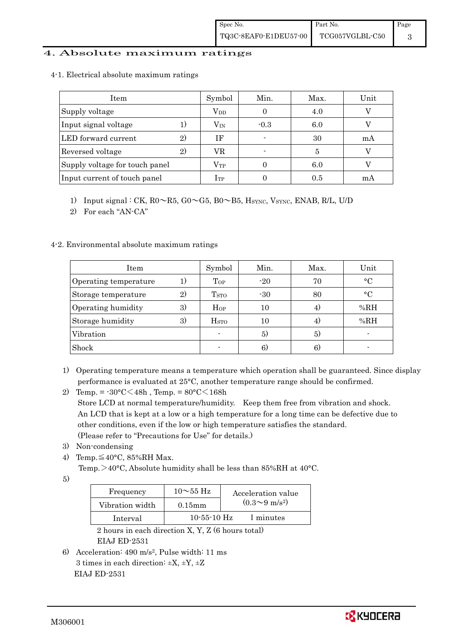### 4. Absolute maximum ratings

|  |  |  | 4-1. Electrical absolute maximum ratings |  |
|--|--|--|------------------------------------------|--|
|--|--|--|------------------------------------------|--|

| Item                           |                | Symbol           | Min.   | Max. | Unit |
|--------------------------------|----------------|------------------|--------|------|------|
| Supply voltage                 |                | $\rm V_{DD}$     |        | 4.0  |      |
| Input signal voltage           |                | $\rm V_{\rm IN}$ | $-0.3$ | 6.0  |      |
| LED forward current            |                | ΙF               |        | 30   | mA   |
| Reversed voltage               | $\mathfrak{D}$ | VR               |        | 5    |      |
| Supply voltage for touch panel |                | $\rm V_{TP}$     |        | 6.0  |      |
| Input current of touch panel   |                | $\rm I_{TP}$     |        | 0.5  | m A  |

1) Input signal : CK, R0~R5, G0~G5, B0~B5, HSYNC, VSYNC, ENAB, R/L, U/D

2) For each "AN-CA"

### 4-2. Environmental absolute maximum ratings

| Item                  |    | Symbol                  | Min.  | Max. | Unit        |
|-----------------------|----|-------------------------|-------|------|-------------|
| Operating temperature |    | Top                     | $-20$ | 70   | $^{\circ}C$ |
| Storage temperature   | 2) | <b>T</b> <sub>STO</sub> | $-30$ | 80   | $\circ$ C   |
| Operating humidity    | 3) | $H_{OP}$                | 10    | 4.   | %RH         |
| Storage humidity      | 3) | <b>H</b> <sub>sto</sub> |       | 4)   | %RH         |
| Vibration             |    |                         | 5)    | 5)   |             |
| Shock                 |    |                         | 6)    | 6)   |             |

- 1) Operating temperature means a temperature which operation shall be guaranteed. Since display performance is evaluated at 25°C, another temperature range should be confirmed.
- 2) Temp. =  $-30^{\circ}$ C $<$ 48h, Temp. =  $80^{\circ}$ C $<$ 168h Store LCD at normal temperature/humidity. Keep them free from vibration and shock. An LCD that is kept at a low or a high temperature for a long time can be defective due to other conditions, even if the low or high temperature satisfies the standard. (Please refer to "Precautions for Use" for details.)
- 3) Non-condensing
- 4) Temp. $\leq 40^{\circ}$ C, 85%RH Max.

Temp. >40°C, Absolute humidity shall be less than 85%RH at 40°C.

5)

| Frequency       | $10\sim 55$ Hz    | Acceleration value           |
|-----------------|-------------------|------------------------------|
| Vibration width | $0.15$ m m        | $(0.3 \sim 9 \text{ m/s}^2)$ |
| Interval        | $10 - 55 - 10$ Hz | 1 minutes                    |

 2 hours in each direction X, Y, Z (6 hours total) EIAJ ED-2531

6) Acceleration: 490 m/s2, Pulse width: 11 ms 3 times in each direction:  $\pm X$ ,  $\pm Y$ ,  $\pm Z$ EIAJ ED-2531

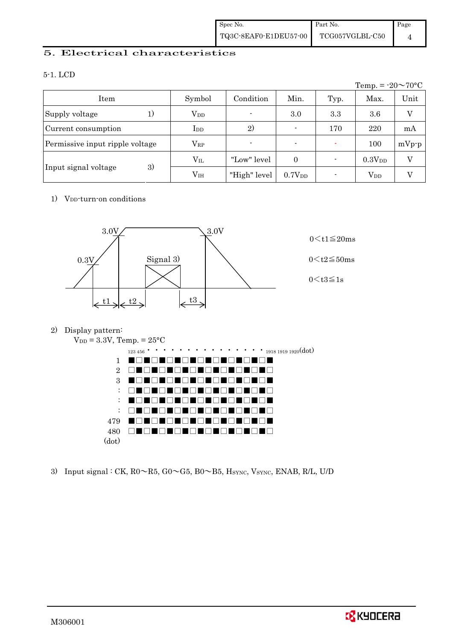## 5. Electrical characteristics

### 5-1. LCD

|                                 |                 |              |                    |      | Temp. = $-20 \sim 70$ °C |         |
|---------------------------------|-----------------|--------------|--------------------|------|--------------------------|---------|
| Item                            | Symbol          | Condition    | Min.               | Typ. | Max.                     | Unit    |
| Supply voltage<br>1)            | $V_{DD}$        |              | 3.0                | 3.3  | 3.6                      | V       |
| Current consumption             | $_{\rm{LDD}}$   | 2)           | $\blacksquare$     | 170  | 220                      | mA      |
| Permissive input ripple voltage | $\rm V_{RP}$    |              | $\blacksquare$     |      | 100                      | $mVp-p$ |
|                                 | $\rm V_{II}$    | "Low" level  | $\Omega$           |      | $0.3V_{DD}$              | V       |
| 3)<br>Input signal voltage      | V <sub>IH</sub> | "High" level | 0.7V <sub>DD</sub> |      | $\rm V_{DD}$             |         |

### 1) V<sub>DD</sub>-turn-on conditions



### 2) Display pattern:



3) Input signal : CK,  $R0 \sim R5$ ,  $G0 \sim G5$ ,  $B0 \sim B5$ ,  $H_{\text{SYNC}}$ ,  $V_{\text{SYNC}}$ ,  $ENAB$ ,  $R/L$ ,  $U/D$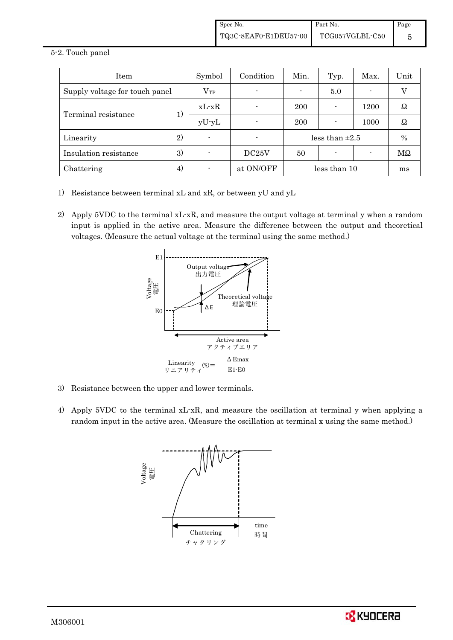#### 5-2. Touch panel

| Item                           | Symbol   | Condition | Min.                | Typ. | Max. | Unit |
|--------------------------------|----------|-----------|---------------------|------|------|------|
| Supply voltage for touch panel | $V_{TP}$ |           | 5.0                 |      |      |      |
|                                | $xL-xR$  |           | 200                 |      | 1200 | Ω    |
| Terminal resistance<br>1)      | $yU-yL$  |           | 200                 |      | 1000 | Ω    |
| 2)<br>Linearity                |          |           | less than $\pm 2.5$ |      |      | $\%$ |
| 3)<br>Insulation resistance    |          | DC25V     | 50                  |      |      | MΩ   |
| Chattering<br>4)               |          | at ON/OFF | less than 10        |      |      | ms   |

- 1) Resistance between terminal xL and xR, or between yU and yL
- 2) Apply 5VDC to the terminal xL-xR, and measure the output voltage at terminal y when a random input is applied in the active area. Measure the difference between the output and theoretical voltages. (Measure the actual voltage at the terminal using the same method.)



- 3) Resistance between the upper and lower terminals.
- 4) Apply 5VDC to the terminal xL-xR, and measure the oscillation at terminal y when applying a random input in the active area. (Measure the oscillation at terminal x using the same method.)



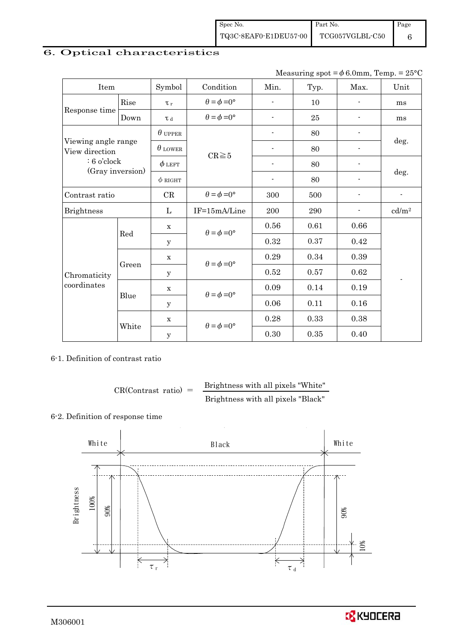| Spec No.              | Part No.        | Page |
|-----------------------|-----------------|------|
| TQ3C-8EAF0-E1DEU57-00 | TCG057VGLBL-C50 |      |

# 6. Optical characteristics

| Measuring spot = $\phi$ 6.0mm, Temp. = 25°C |
|---------------------------------------------|
|---------------------------------------------|

| Item                                                                       |       | Symbol         | Condition                   | Min.                     | Typ.    | Max.                     | Unit              |  |
|----------------------------------------------------------------------------|-------|----------------|-----------------------------|--------------------------|---------|--------------------------|-------------------|--|
| Rise                                                                       |       | $\tau_r$       | $\theta = \phi = 0^{\circ}$ | $\blacksquare$           | 10      |                          | ms                |  |
| Response time                                                              | Down  | T d            | $\theta = \phi = 0^{\circ}$ |                          | 25      |                          | ms                |  |
| Viewing angle range<br>View direction<br>$: 6$ o'clock<br>(Gray inversion) |       | $\theta$ upper |                             | $\overline{\phantom{a}}$ | 80      |                          |                   |  |
|                                                                            |       | $\theta$ LOWER |                             |                          | 80      |                          | deg.              |  |
|                                                                            |       | $\phi$ left    | $CR \ge 5$                  |                          | 80      |                          |                   |  |
|                                                                            |       | $\phi$ RIGHT   |                             | $\overline{\phantom{a}}$ | 80      | $\overline{a}$           | deg.              |  |
| Contrast ratio                                                             |       | $\mathrm{CR}$  | $\theta = \phi = 0^{\circ}$ | 300                      | 500     |                          | $\blacksquare$    |  |
| <b>Brightness</b>                                                          |       | L              | IF=15mA/Line                | 200                      | $\,290$ | $\overline{\phantom{a}}$ | cd/m <sup>2</sup> |  |
|                                                                            | Red   | $\mathbf X$    | $\theta = \phi = 0^{\circ}$ | 0.56                     | 0.61    | 0.66                     |                   |  |
|                                                                            |       | y              |                             | 0.32                     | 0.37    | 0.42                     |                   |  |
|                                                                            | Green | $\mathbf X$    | $\theta = \phi = 0^{\circ}$ | 0.29                     | 0.34    | 0.39                     |                   |  |
| Chromaticity<br>coordinates                                                |       | у              |                             | 0.52                     | 0.57    | 0.62                     |                   |  |
|                                                                            |       | $\mathbf X$    |                             | 0.09                     | 0.14    | 0.19                     |                   |  |
|                                                                            | Blue  | У              | $\theta = \phi = 0^{\circ}$ | 0.06                     | 0.11    | 0.16                     |                   |  |
|                                                                            |       | $\mathbf X$    |                             | 0.28                     | 0.33    | 0.38                     |                   |  |
|                                                                            | White | $\mathbf y$    | $\theta = \phi = 0^{\circ}$ | 0.30                     | 0.35    | 0.40                     |                   |  |

### 6-1. Definition of contrast ratio

$$
CR(Contrast ratio) = \frac{Brightness with all pixels "White"}
$$
  
Brightness with all pixels "Black"

# 6-2. Definition of response time

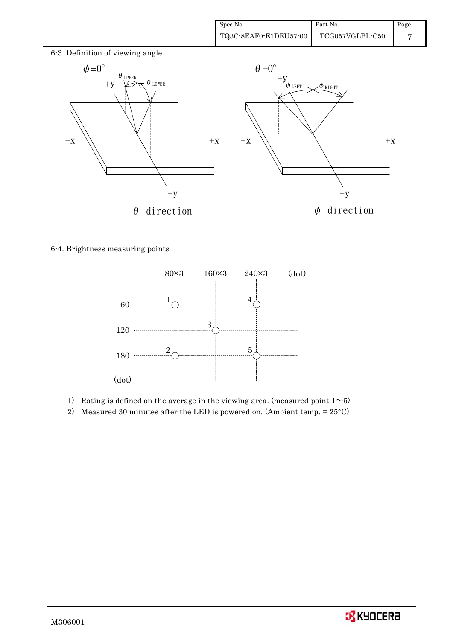

6-4. Brightness measuring points



- 1) Rating is defined on the average in the viewing area. (measured point  $1~$
- 2) Measured 30 minutes after the LED is powered on. (Ambient temp.  $= 25^{\circ}$ C)

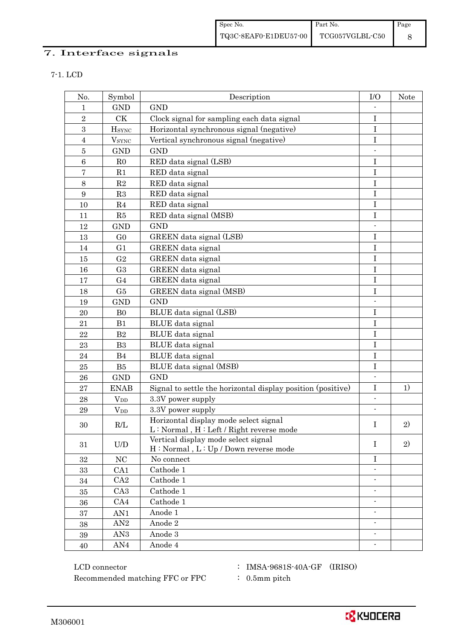# 7. Interface signals

| I |  |  |  |  |  |
|---|--|--|--|--|--|
|---|--|--|--|--|--|

| No.            | Symbol               | Description                                                                        | I/O                      | Note |
|----------------|----------------------|------------------------------------------------------------------------------------|--------------------------|------|
| 1              | <b>GND</b>           | <b>GND</b>                                                                         |                          |      |
| $\overline{2}$ | CK                   | Clock signal for sampling each data signal                                         | I                        |      |
| 3              | <b>H</b> sync        | Horizontal synchronous signal (negative)                                           | $\mathbf I$              |      |
| $\overline{4}$ | $\rm{V}_{\rm{SYNC}}$ | Vertical synchronous signal (negative)                                             | $\bf I$                  |      |
| $\bf 5$        | <b>GND</b>           | <b>GND</b>                                                                         |                          |      |
| $\,6\,$        | R <sub>0</sub>       | RED data signal (LSB)                                                              | $\bf I$                  |      |
| $\bf 7$        | R1                   | RED data signal                                                                    | $\bf I$                  |      |
| $\,8\,$        | $\mathbf{R}2$        | RED data signal                                                                    | $\bf I$                  |      |
| 9              | R3                   | RED data signal                                                                    | I                        |      |
| 10             | R <sub>4</sub>       | RED data signal                                                                    | I                        |      |
| 11             | R5                   | RED data signal (MSB)                                                              | I                        |      |
| 12             | <b>GND</b>           | <b>GND</b>                                                                         |                          |      |
| 13             | G <sub>0</sub>       | GREEN data signal (LSB)                                                            | I                        |      |
| 14             | G1                   | GREEN data signal                                                                  | $\bf I$                  |      |
| 15             | G <sub>2</sub>       | <b>GREEN</b> data signal                                                           | I                        |      |
| 16             | G <sub>3</sub>       | GREEN data signal                                                                  | $\bf I$                  |      |
| 17             | G <sub>4</sub>       | GREEN data signal                                                                  | $\bf I$                  |      |
| 18             | G5                   | GREEN data signal (MSB)                                                            | I                        |      |
| 19             | <b>GND</b>           | <b>GND</b>                                                                         | $\overline{a}$           |      |
| 20             | B <sub>0</sub>       | BLUE data signal (LSB)                                                             | $\bf I$                  |      |
| 21             | B1                   | BLUE data signal                                                                   | I                        |      |
| 22             | B2                   | BLUE data signal                                                                   | $\mathbf I$              |      |
| 23             | B <sub>3</sub>       | BLUE data signal                                                                   | $\mathbf I$              |      |
| 24             | B <sub>4</sub>       | BLUE data signal                                                                   | $\bf I$                  |      |
| 25             | B5                   | BLUE data signal (MSB)                                                             | $\mathbf I$              |      |
| 26             | <b>GND</b>           | <b>GND</b>                                                                         |                          |      |
| 27             | <b>ENAB</b>          | Signal to settle the horizontal display position (positive)                        | $\bf I$                  | 1)   |
| 28             | $V_{DD}$             | 3.3V power supply                                                                  | $\overline{\phantom{a}}$ |      |
| 29             | $V_{DD}$             | 3.3V power supply                                                                  |                          |      |
| 30             | R/L                  | Horizontal display mode select signal<br>L: Normal, H: Left / Right reverse mode   | I                        | 2)   |
| 31             | U/D                  | Vertical display mode select signal<br>$H : Normal$ , $L : Up / Down$ reverse mode | $\bf{I}$                 | 2)   |
| 32             | NC                   | No connect                                                                         | I                        |      |
| 33             | CA1                  | Cathode 1                                                                          |                          |      |
| 34             | CA2                  | Cathode 1                                                                          | $\blacksquare$           |      |
| 35             | CA <sub>3</sub>      | Cathode 1                                                                          |                          |      |
| 36             | CA4                  | Cathode 1                                                                          |                          |      |
| 37             | AN1                  | Anode 1                                                                            | $\blacksquare$           |      |
| 38             | AN2                  | Anode 2                                                                            |                          |      |
| 39             | AN <sub>3</sub>      | Anode 3                                                                            | $\overline{\phantom{a}}$ |      |
| $40\,$         | AN4                  | Anode 4                                                                            | $\overline{\phantom{a}}$ |      |

 ${\rm LCD~connector} ~~:~ {\rm IMSA\text{-}9681S\text{-}40A\text{-}GF}~~ ({\rm IRISO})$ Recommended matching FFC or FPC : 0.5mm pitch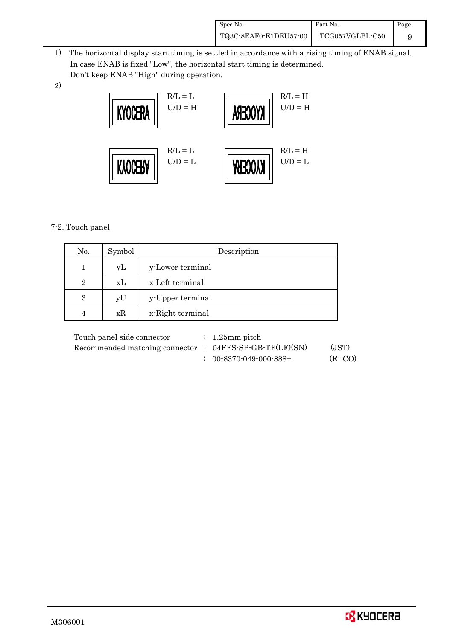| Spec No.              | Part No.        | Page |
|-----------------------|-----------------|------|
| TQ3C-8EAF0-E1DEU57-00 | TCG057VGLBL-C50 |      |

- 1) The horizontal display start timing is settled in accordance with a rising timing of ENAB signal. In case ENAB is fixed "Low", the horizontal start timing is determined. Don't keep ENAB "High" during operation.
- 2)



## 7-2. Touch panel

| No.            | Symbol | Description      |
|----------------|--------|------------------|
|                | уL     | y-Lower terminal |
| $\overline{2}$ | xL     | x-Left terminal  |
| 3              | yU     | y-Upper terminal |
|                | xR     | x-Right terminal |

| Touch panel side connector                                | $\therefore$ 1.25 mm pitch        |        |
|-----------------------------------------------------------|-----------------------------------|--------|
| Recommended matching connector : $04FFS-SP-GB-TF(LF)(SN)$ |                                   | (JST)  |
|                                                           | $: 00 - 8370 - 049 - 000 - 888 +$ | (ELCO) |

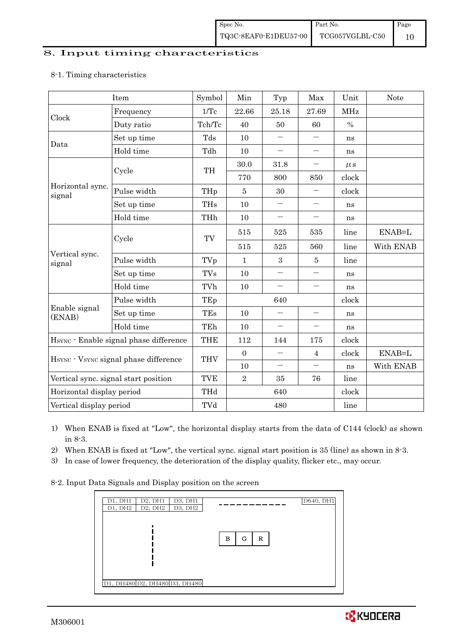#### 8. Input timing characteristics

### 8-1. Timing characteristics

|                                                    | Item                                 | Symbol     | Min              | Typ                      | Max                      | Unit       | <b>Note</b> |
|----------------------------------------------------|--------------------------------------|------------|------------------|--------------------------|--------------------------|------------|-------------|
| Clock                                              | Frequency                            | 1/Tc       | 22.66            | 25.18                    | 27.69                    | <b>MHz</b> |             |
|                                                    | Duty ratio                           | Tch/Tc     | 40               | 50                       | 60                       | $\%$       |             |
| Data                                               | Set up time                          | Tds        | 10               |                          |                          | ns         |             |
|                                                    | Hold time                            | Tdh        | 10               | $\overline{\phantom{0}}$ | $\qquad \qquad -$        | ns         |             |
|                                                    | Cycle                                | TH         | 30.0             | 31.8                     | $\qquad \qquad -$        | $\mu$ s    |             |
|                                                    |                                      |            | 770              | 800                      | 850                      | clock      |             |
| Horizontal sync.<br>signal                         | Pulse width                          | THp        | $\overline{5}$   | 30                       | —                        | clock      |             |
|                                                    | Set up time                          | <b>THs</b> | 10               | $\qquad \qquad -$        | $\qquad \qquad -$        | ns         |             |
|                                                    | Hold time                            | THh        | 10               | $\overline{\phantom{0}}$ | $\qquad \qquad -$        | ns         |             |
|                                                    | Cycle                                | TV         | 515              | 525                      | 535                      | line       | ENAB=L      |
|                                                    |                                      |            | 515              | 525                      | 560                      | line       | With ENAB   |
| Vertical sync.<br>signal                           | Pulse width                          | TVp        | $\mathbf{1}$     | 3                        | 5                        | line       |             |
|                                                    | Set up time                          | TVs        | 10               | $\qquad \qquad -$        | $\qquad \qquad -$        | ns         |             |
|                                                    | Hold time                            | TVh        | 10               | $\overline{\phantom{0}}$ | $\overline{\phantom{0}}$ | ns         |             |
|                                                    | Pulse width                          | TEp        | 640              |                          |                          | clock      |             |
| Enable signal<br>(ENAB)                            | Set up time                          | TEs        | 10               | $\overline{\phantom{0}}$ | $\qquad \qquad -$        | ns         |             |
|                                                    | Hold time                            | TEh        | 10               | $\qquad \qquad -$        | $\overline{\phantom{m}}$ | ns         |             |
| H <sub>SYNC</sub> · Enable signal phase difference |                                      | <b>THE</b> | 112              | 144                      | 175                      | clock      |             |
| HSYNC · VSYNC signal phase difference              |                                      | <b>THV</b> | $\boldsymbol{0}$ | $\overline{\phantom{0}}$ | $\overline{4}$           | clock      | ENAB=L      |
|                                                    |                                      |            | 10               | $\qquad \qquad -$        | $\overline{\phantom{m}}$ | ns         | With ENAB   |
|                                                    | Vertical sync. signal start position | <b>TVE</b> | $\overline{2}$   | 35                       | 76                       | line       |             |
| Horizontal display period                          |                                      | THd        |                  | 640                      |                          | clock      |             |
| Vertical display period                            |                                      | TVd        | 480              |                          |                          | line       |             |

1) When ENAB is fixed at "Low", the horizontal display starts from the data of C144 (clock) as shown in 8-3.

2) When ENAB is fixed at "Low", the vertical sync. signal start position is 35 (line) as shown in 8-3.

3) In case of lower frequency, the deterioration of the display quality, flicker etc., may occur.

8-2. Input Data Signals and Display position on the screen

| D1, DH1<br>D2, DH1            | D3, DH1 |             | D640, DH1 |
|-------------------------------|---------|-------------|-----------|
| $D2$ , $DH2$<br>D1, DH2       | D3, DH2 |             |           |
|                               |         |             |           |
|                               |         | G<br>R<br>в |           |
|                               |         |             |           |
|                               |         |             |           |
|                               |         |             |           |
| D1, DH480 D2, DH480 D3, DH480 |         |             |           |

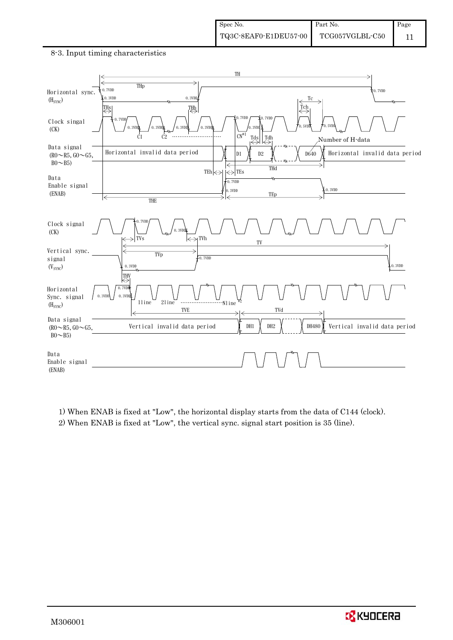#### 8-3. Input timing characteristics



1) When ENAB is fixed at "Low", the horizontal display starts from the data of C144 (clock). 2) When ENAB is fixed at "Low", the vertical sync. signal start position is 35 (line).

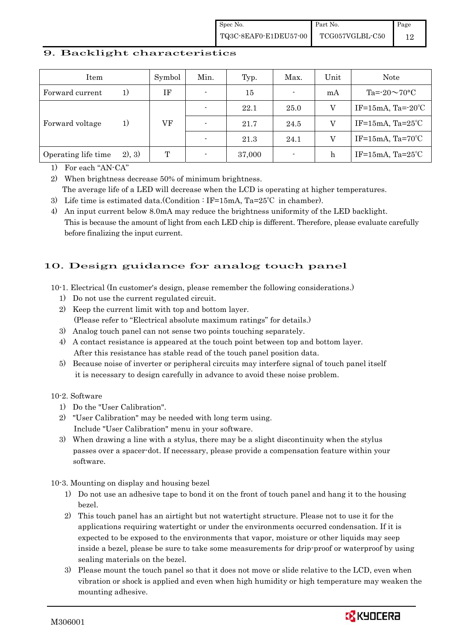### 9. Backlight characteristics

| Item                |         | Symbol | Min.                     | Typ.   | Max.                     | Unit | <b>Note</b>                  |
|---------------------|---------|--------|--------------------------|--------|--------------------------|------|------------------------------|
| Forward current     | 1)      | IF     | $\blacksquare$           | 15     | $\blacksquare$           | mA   | Ta= $-20\sim70$ °C           |
|                     |         |        |                          | 22.1   | 25.0                     | V    | IF=15mA, Ta= $-20^{\circ}$ C |
| Forward voltage     | 1)      | VF     | $\overline{\phantom{0}}$ | 21.7   | 24.5                     |      | IF=15mA, $Ta=25^{\circ}C$    |
|                     |         |        |                          | 21.3   | 24.1                     |      | IF=15mA, $Ta=70^{\circ}C$    |
| Operating life time | (2), 3) | T      |                          | 37,000 | $\overline{\phantom{a}}$ | h    | IF=15mA, $Ta=25^{\circ}C$    |

1) For each "AN-CA"

2) When brightness decrease 50% of minimum brightness. The average life of a LED will decrease when the LCD is operating at higher temperatures.

3) Life time is estimated data.(Condition : IF=15mA, Ta=25℃ in chamber).

4) An input current below 8.0mA may reduce the brightness uniformity of the LED backlight. This is because the amount of light from each LED chip is different. Therefore, please evaluate carefully before finalizing the input current.

# 10. Design guidance for analog touch panel

10-1. Electrical (In customer's design, please remember the following considerations.)

- 1) Do not use the current regulated circuit.
- 2) Keep the current limit with top and bottom layer. (Please refer to "Electrical absolute maximum ratings" for details.)
- 3) Analog touch panel can not sense two points touching separately.
- 4) A contact resistance is appeared at the touch point between top and bottom layer. After this resistance has stable read of the touch panel position data.
- 5) Because noise of inverter or peripheral circuits may interfere signal of touch panel itself it is necessary to design carefully in advance to avoid these noise problem.

10-2. Software

- 1) Do the "User Calibration".
- 2) "User Calibration" may be needed with long term using. Include "User Calibration" menu in your software.
- 3) When drawing a line with a stylus, there may be a slight discontinuity when the stylus passes over a spacer-dot. If necessary, please provide a compensation feature within your software.

10-3. Mounting on display and housing bezel

- 1) Do not use an adhesive tape to bond it on the front of touch panel and hang it to the housing bezel.
- 2) This touch panel has an airtight but not watertight structure. Please not to use it for the applications requiring watertight or under the environments occurred condensation. If it is expected to be exposed to the environments that vapor, moisture or other liquids may seep inside a bezel, please be sure to take some measurements for drip-proof or waterproof by using sealing materials on the bezel.
- 3) Please mount the touch panel so that it does not move or slide relative to the LCD, even when vibration or shock is applied and even when high humidity or high temperature may weaken the mounting adhesive.

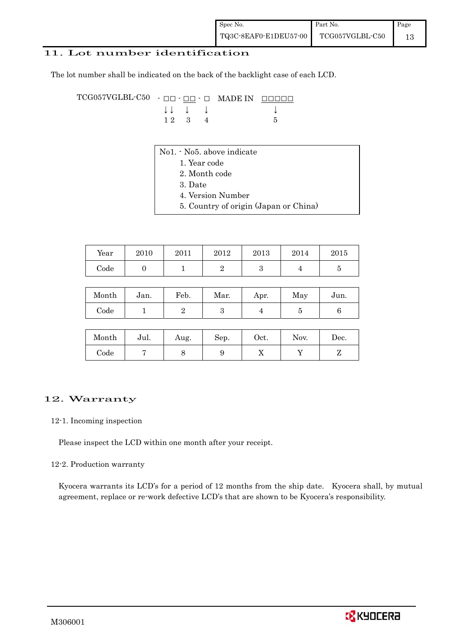### 11. Lot number identification

The lot number shall be indicated on the back of the backlight case of each LCD.

TCG057VGLBL-C50 - ŌŌ - ŌŌ - Ō MADE IN ŌŌŌŌŌ  $\downarrow \downarrow \quad \downarrow \quad \downarrow \qquad \qquad \downarrow$  $1 \ 2 \ 3 \ 4$  5

- No1. No5. above indicate
	- 1. Year code
		- 2. Month code
		- 3. Date
		- 4. Version Number
	- 5. Country of origin (Japan or China)

| Year       | 2010 | 2011 | 2012 | 2013 | 2014 | 2015 |
|------------|------|------|------|------|------|------|
| $\rm Code$ |      |      |      |      |      |      |

| Month | Jan. | Feb. | Mar. | Apr. | May | Jun. |
|-------|------|------|------|------|-----|------|
| Code  |      |      |      |      |     |      |

| Month      | Jul. | Aug. | Sep. | Oct. | Nov. | $\operatorname{Dec.}$ |
|------------|------|------|------|------|------|-----------------------|
| $\rm Code$ |      |      |      | ∡⊾   |      |                       |

### 12. Warranty

### 12-1. Incoming inspection

Please inspect the LCD within one month after your receipt.

### 12-2. Production warranty

 Kyocera warrants its LCD's for a period of 12 months from the ship date. Kyocera shall, by mutual agreement, replace or re-work defective LCD's that are shown to be Kyocera's responsibility.

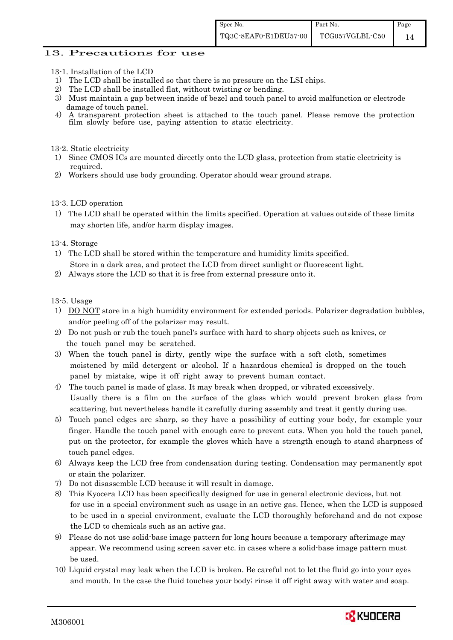### 13. Precautions for use

- 13-1. Installation of the LCD
- 1) The LCD shall be installed so that there is no pressure on the LSI chips.<br>2) The LCD shall be installed flat. without twisting or bending.
- The LCD shall be installed flat, without twisting or bending.
- 3) Must maintain a gap between inside of bezel and touch panel to avoid malfunction or electrode damage of touch panel.
- 4) A transparent protection sheet is attached to the touch panel. Please remove the protection film slowly before use, paying attention to static electricity.

13-2. Static electricity

- 1) Since CMOS ICs are mounted directly onto the LCD glass, protection from static electricity is required.
- 2) Workers should use body grounding. Operator should wear ground straps.

#### 13-3. LCD operation

1) The LCD shall be operated within the limits specified. Operation at values outside of these limits may shorten life, and/or harm display images.

13-4. Storage

- 1) The LCD shall be stored within the temperature and humidity limits specified. Store in a dark area, and protect the LCD from direct sunlight or fluorescent light.
- 2) Always store the LCD so that it is free from external pressure onto it.

13-5. Usage

- 1) DO NOT store in a high humidity environment for extended periods. Polarizer degradation bubbles, and/or peeling off of the polarizer may result.
- 2) Do not push or rub the touch panel's surface with hard to sharp objects such as knives, or the touch panel may be scratched.
- 3) When the touch panel is dirty, gently wipe the surface with a soft cloth, sometimes moistened by mild detergent or alcohol. If a hazardous chemical is dropped on the touch panel by mistake, wipe it off right away to prevent human contact.
- 4) The touch panel is made of glass. It may break when dropped, or vibrated excessively. Usually there is a film on the surface of the glass which would prevent broken glass from scattering, but nevertheless handle it carefully during assembly and treat it gently during use.
- 5) Touch panel edges are sharp, so they have a possibility of cutting your body, for example your finger. Handle the touch panel with enough care to prevent cuts. When you hold the touch panel, put on the protector, for example the gloves which have a strength enough to stand sharpness of touch panel edges.
- 6) Always keep the LCD free from condensation during testing. Condensation may permanently spot or stain the polarizer.
- 7) Do not disassemble LCD because it will result in damage.
- 8) This Kyocera LCD has been specifically designed for use in general electronic devices, but not for use in a special environment such as usage in an active gas. Hence, when the LCD is supposed to be used in a special environment, evaluate the LCD thoroughly beforehand and do not expose the LCD to chemicals such as an active gas.
- 9) Please do not use solid-base image pattern for long hours because a temporary afterimage may appear. We recommend using screen saver etc. in cases where a solid-base image pattern must be used.
- 10) Liquid crystal may leak when the LCD is broken. Be careful not to let the fluid go into your eyes and mouth. In the case the fluid touches your body; rinse it off right away with water and soap.

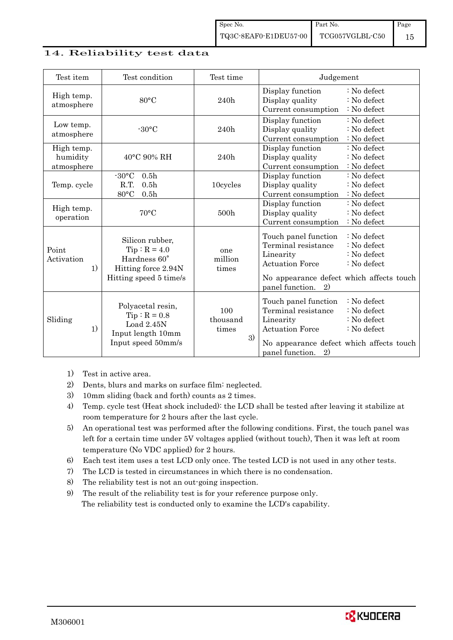### 14. Reliability test data

| Test item                            | Test condition                                                                                     | Test time                      | Judgement                                                                                                                                                                                                                      |
|--------------------------------------|----------------------------------------------------------------------------------------------------|--------------------------------|--------------------------------------------------------------------------------------------------------------------------------------------------------------------------------------------------------------------------------|
| High temp.<br>atmosphere             | $80^{\circ}$ C                                                                                     | 240h                           | Display function<br>: No defect<br>: No defect<br>Display quality<br>: No defect<br>Current consumption                                                                                                                        |
| Low temp.<br>atmosphere              | $-30^{\circ}$ C                                                                                    | 240h                           | Display function<br>: No defect<br>Display quality<br>: No defect<br>Current consumption<br>: No defect                                                                                                                        |
| High temp.<br>humidity<br>atmosphere | 40°C 90% RH                                                                                        | 240h                           | Display function<br>: No defect<br>Display quality<br>: No defect<br>Current consumption<br>: No defect                                                                                                                        |
| Temp. cycle                          | $-30$ °C<br>0.5 <sub>h</sub><br>R.T.<br>0.5 <sub>h</sub><br>80°C<br>0.5 <sub>h</sub>               | 10cycles                       | Display function<br>: No defect<br>: No defect<br>Display quality<br>Current consumption<br>$\therefore$ No defect                                                                                                             |
| High temp.<br>operation              | $70^{\circ}$ C                                                                                     | 500h                           | Display function<br>: No defect<br>Display quality<br>: No defect<br>Current consumption<br>: No defect                                                                                                                        |
| Point<br>Activation<br>1)            | Silicon rubber,<br>$Tip: R = 4.0$<br>Hardness 60°<br>Hitting force 2.94N<br>Hitting speed 5 time/s | one<br>million<br>times        | Touch panel function<br>: No defect<br>Terminal resistance<br>: No defect<br>: No defect<br>Linearity<br><b>Actuation Force</b><br>$\therefore$ No defect<br>No appearance defect which affects touch<br>panel function.<br>2) |
| Sliding<br>1)                        | Polyacetal resin,<br>$Tip: R = 0.8$<br>Load 2.45N<br>Input length 10mm<br>Input speed 50mm/s       | 100<br>thousand<br>times<br>3) | : No defect<br>Touch panel function<br>Terminal resistance<br>: No defect<br>: No defect<br>Linearity<br><b>Actuation Force</b><br>: No defect<br>No appearance defect which affects touch<br>panel function.<br>2)            |

- 1) Test in active area.
- 2) Dents, blurs and marks on surface film: neglected.
- 3) 10mm sliding (back and forth) counts as 2 times.
- 4) Temp. cycle test (Heat shock included): the LCD shall be tested after leaving it stabilize at room temperature for 2 hours after the last cycle.
- 5) An operational test was performed after the following conditions. First, the touch panel was left for a certain time under 5V voltages applied (without touch), Then it was left at room temperature (No VDC applied) for 2 hours.
- 6) Each test item uses a test LCD only once. The tested LCD is not used in any other tests.
- 7) The LCD is tested in circumstances in which there is no condensation.
- 8) The reliability test is not an out-going inspection.
- 9) The result of the reliability test is for your reference purpose only. The reliability test is conducted only to examine the LCD's capability.

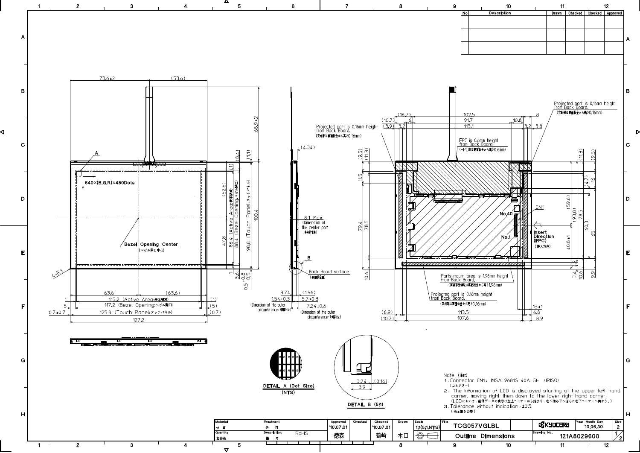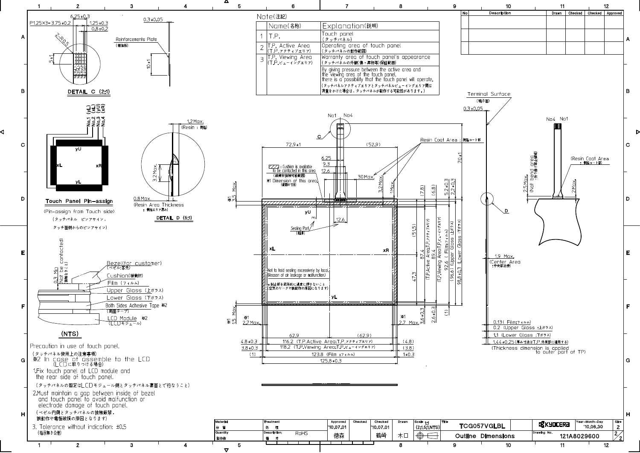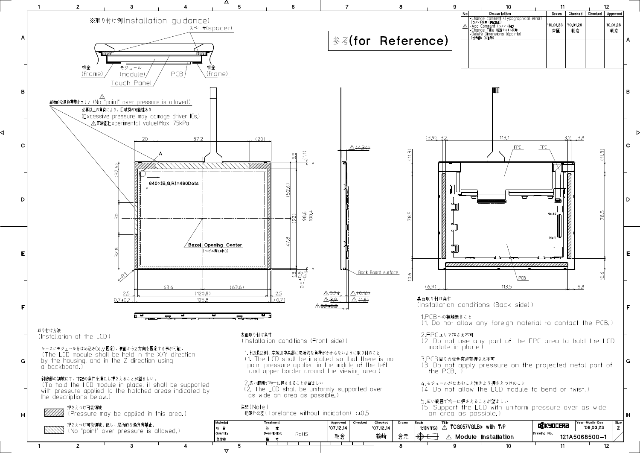

 $\triangledown$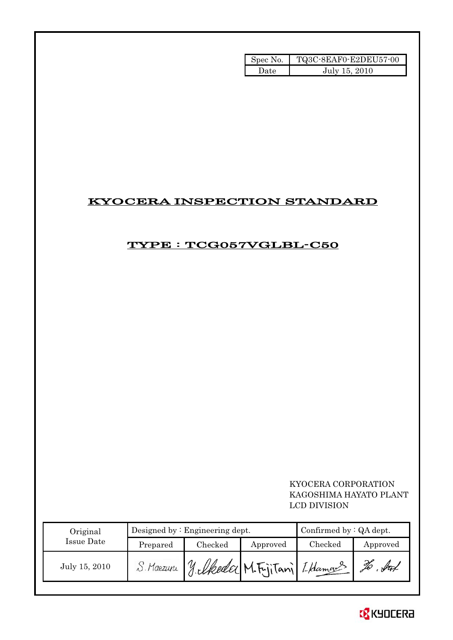| Spec No. | TQ3C-8EAF0-E2DEU57-00 |
|----------|-----------------------|
| Date     | July 15, 2010         |

# KYOCERA INSPECTION STANDARD

# TYPE : TCG057VGLBL-C50

# KYOCERA CORPORATION KAGOSHIMA HAYATO PLANT LCD DIVISION

| Original      |           | Designed by $:$ Engineering dept. | Confirmed by $:QA$ dept. |         |          |
|---------------|-----------|-----------------------------------|--------------------------|---------|----------|
| Issue Date    | Prepared  | Checked                           | Approved                 | Checked | Approved |
| July 15, 2010 | . Maezuru | 1. Ukoda M. Fritani Lhamas        |                          |         |          |

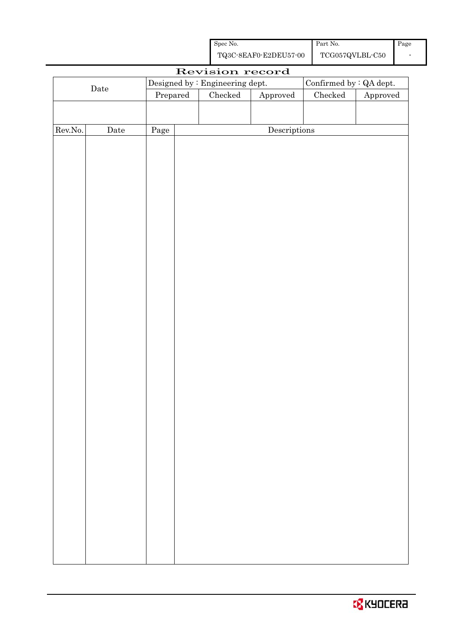| Spec No.              | Part No.        | Page |
|-----------------------|-----------------|------|
| TQ3C-8EAF0-E2DEU57-00 | TCG057QVLBL-C50 |      |

|         |             |      |                                       | Revision record         |               |                        |  |  |  |  |
|---------|-------------|------|---------------------------------------|-------------------------|---------------|------------------------|--|--|--|--|
|         | $\rm{Date}$ |      | Designed by : Engineering dept.       | Confirmed by : QA dept. |               |                        |  |  |  |  |
|         |             |      | $\rm Checked$<br>Approved<br>Prepared |                         | $\rm Checked$ | ${\Large\bf Approved}$ |  |  |  |  |
|         |             |      |                                       |                         |               |                        |  |  |  |  |
|         |             |      |                                       |                         |               |                        |  |  |  |  |
| Rev.No. | $\rm{Date}$ | Page |                                       | Descriptions            |               |                        |  |  |  |  |
|         |             |      |                                       |                         |               |                        |  |  |  |  |
|         |             |      |                                       |                         |               |                        |  |  |  |  |
|         |             |      |                                       |                         |               |                        |  |  |  |  |
|         |             |      |                                       |                         |               |                        |  |  |  |  |
|         |             |      |                                       |                         |               |                        |  |  |  |  |
|         |             |      |                                       |                         |               |                        |  |  |  |  |
|         |             |      |                                       |                         |               |                        |  |  |  |  |
|         |             |      |                                       |                         |               |                        |  |  |  |  |
|         |             |      |                                       |                         |               |                        |  |  |  |  |
|         |             |      |                                       |                         |               |                        |  |  |  |  |
|         |             |      |                                       |                         |               |                        |  |  |  |  |
|         |             |      |                                       |                         |               |                        |  |  |  |  |
|         |             |      |                                       |                         |               |                        |  |  |  |  |
|         |             |      |                                       |                         |               |                        |  |  |  |  |
|         |             |      |                                       |                         |               |                        |  |  |  |  |
|         |             |      |                                       |                         |               |                        |  |  |  |  |
|         |             |      |                                       |                         |               |                        |  |  |  |  |
|         |             |      |                                       |                         |               |                        |  |  |  |  |
|         |             |      |                                       |                         |               |                        |  |  |  |  |
|         |             |      |                                       |                         |               |                        |  |  |  |  |
|         |             |      |                                       |                         |               |                        |  |  |  |  |
|         |             |      |                                       |                         |               |                        |  |  |  |  |
|         |             |      |                                       |                         |               |                        |  |  |  |  |
|         |             |      |                                       |                         |               |                        |  |  |  |  |
|         |             |      |                                       |                         |               |                        |  |  |  |  |
|         |             |      |                                       |                         |               |                        |  |  |  |  |
|         |             |      |                                       |                         |               |                        |  |  |  |  |
|         |             |      |                                       |                         |               |                        |  |  |  |  |
|         |             |      |                                       |                         |               |                        |  |  |  |  |
|         |             |      |                                       |                         |               |                        |  |  |  |  |
|         |             |      |                                       |                         |               |                        |  |  |  |  |
|         |             |      |                                       |                         |               |                        |  |  |  |  |
|         |             |      |                                       |                         |               |                        |  |  |  |  |
|         |             |      |                                       |                         |               |                        |  |  |  |  |
|         |             |      |                                       |                         |               |                        |  |  |  |  |
|         |             |      |                                       |                         |               |                        |  |  |  |  |
|         |             |      |                                       |                         |               |                        |  |  |  |  |
|         |             |      |                                       |                         |               |                        |  |  |  |  |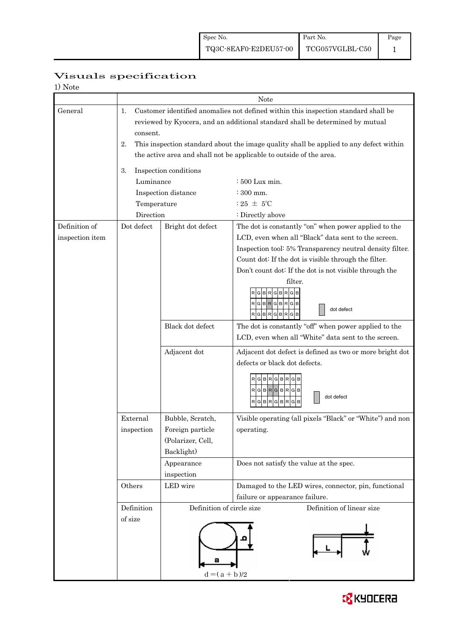|                                           | Visuals specification |
|-------------------------------------------|-----------------------|
| $\rightarrow$ $\rightarrow$ $\rightarrow$ |                       |

| 1) Note         |             |                           |                                                                                        |  |  |  |
|-----------------|-------------|---------------------------|----------------------------------------------------------------------------------------|--|--|--|
|                 |             |                           | <b>Note</b>                                                                            |  |  |  |
| General         | 1.          |                           | Customer identified anomalies not defined within this inspection standard shall be     |  |  |  |
|                 |             |                           | reviewed by Kyocera, and an additional standard shall be determined by mutual          |  |  |  |
|                 | consent.    |                           |                                                                                        |  |  |  |
|                 | 2.          |                           | This inspection standard about the image quality shall be applied to any defect within |  |  |  |
|                 |             |                           | the active area and shall not be applicable to outside of the area.                    |  |  |  |
|                 |             |                           |                                                                                        |  |  |  |
|                 | 3.          | Inspection conditions     |                                                                                        |  |  |  |
|                 | Luminance   |                           | $:500$ Lux min.                                                                        |  |  |  |
|                 |             | Inspection distance       | : 300 mm.                                                                              |  |  |  |
|                 | Temperature |                           | : 25 $\pm$ 5°C                                                                         |  |  |  |
|                 | Direction   |                           | : Directly above                                                                       |  |  |  |
| Definition of   | Dot defect  | Bright dot defect         | The dot is constantly "on" when power applied to the                                   |  |  |  |
| inspection item |             |                           | LCD, even when all "Black" data sent to the screen.                                    |  |  |  |
|                 |             |                           | Inspection tool: 5% Transparency neutral density filter.                               |  |  |  |
|                 |             |                           | Count dot: If the dot is visible through the filter.                                   |  |  |  |
|                 |             |                           | Don't count dot: If the dot is not visible through the                                 |  |  |  |
|                 |             |                           | filter.                                                                                |  |  |  |
|                 |             |                           | GBRGBRGB                                                                               |  |  |  |
|                 |             |                           | RGBRGBRGB                                                                              |  |  |  |
|                 |             |                           | dot defect<br>RGBRGBRGB                                                                |  |  |  |
|                 |             | Black dot defect          | The dot is constantly "off" when power applied to the                                  |  |  |  |
|                 |             |                           | LCD, even when all "White" data sent to the screen.                                    |  |  |  |
|                 |             |                           |                                                                                        |  |  |  |
|                 |             | Adjacent dot              | Adjacent dot defect is defined as two or more bright dot                               |  |  |  |
|                 |             |                           | defects or black dot defects.                                                          |  |  |  |
|                 |             |                           | GBRGBRG                                                                                |  |  |  |
|                 |             |                           | $RG[B]R[G]B[R]G[B]$                                                                    |  |  |  |
|                 |             |                           | dot defect<br>RGBRGBRGB                                                                |  |  |  |
|                 |             |                           |                                                                                        |  |  |  |
|                 | External    | Bubble, Scratch,          | Visible operating (all pixels "Black" or "White") and non                              |  |  |  |
|                 | inspection  | Foreign particle          | operating.                                                                             |  |  |  |
|                 |             | (Polarizer, Cell,         |                                                                                        |  |  |  |
|                 |             | Backlight)                |                                                                                        |  |  |  |
|                 |             | Appearance                | Does not satisfy the value at the spec.                                                |  |  |  |
|                 |             | inspection                |                                                                                        |  |  |  |
|                 | Others      | LED wire                  | Damaged to the LED wires, connector, pin, functional                                   |  |  |  |
|                 |             |                           | failure or appearance failure.                                                         |  |  |  |
|                 | Definition  | Definition of circle size | Definition of linear size                                                              |  |  |  |
|                 | of size     |                           |                                                                                        |  |  |  |
|                 |             |                           |                                                                                        |  |  |  |
|                 |             |                           |                                                                                        |  |  |  |
|                 |             |                           |                                                                                        |  |  |  |
|                 |             |                           |                                                                                        |  |  |  |
|                 |             | $d = (a + b)/2$           |                                                                                        |  |  |  |

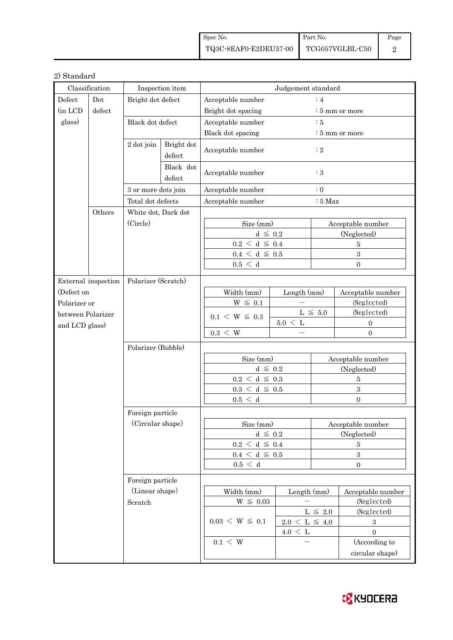| Spec No.                                                                                         | Part No. | Page |
|--------------------------------------------------------------------------------------------------|----------|------|
| $\begin{tabular}{c c c} \textbf{TQ3C-8EAF0-E2DEU57-00} & \textbf{TCG057VGLBL-C50} \end{tabular}$ |          |      |

## 2) Standard

| Classification                    |        | Inspection item      |                                 | Judgement standard                  |                                   |                            |                                  |  |
|-----------------------------------|--------|----------------------|---------------------------------|-------------------------------------|-----------------------------------|----------------------------|----------------------------------|--|
| Defect<br>Dot                     |        | Bright dot defect    |                                 | $\colon$ 4<br>Acceptable number     |                                   |                            |                                  |  |
| (in LCD                           | defect |                      |                                 | Bright dot spacing                  |                                   |                            | $\frac{1}{2}$ 5 mm or more       |  |
| glass)<br>2 dot join              |        | Black dot defect     |                                 | Acceptable number<br>$\therefore$ 5 |                                   |                            |                                  |  |
|                                   |        |                      |                                 | Black dot spacing                   |                                   | $\frac{1}{2}$ 5 mm or more |                                  |  |
|                                   |        | Bright dot<br>defect | Acceptable number<br>$\colon 2$ |                                     |                                   |                            |                                  |  |
|                                   |        |                      | Black dot<br>defect             | Acceptable number                   |                                   | $\colon 3$                 |                                  |  |
|                                   |        | 3 or more dots join  |                                 | Acceptable number                   |                                   | $\therefore$ 0             |                                  |  |
|                                   |        | Total dot defects    |                                 | Acceptable number                   |                                   | $:5$ Max                   |                                  |  |
| Others                            |        | White dot, Dark dot  |                                 |                                     |                                   |                            |                                  |  |
|                                   |        | (Circle)             |                                 | Size (mm)                           |                                   | Acceptable number          |                                  |  |
|                                   |        |                      |                                 | $d \leq 0.2$                        |                                   | (Neglected)                |                                  |  |
|                                   |        |                      |                                 | $0.2\,<\,\mathrm{d}\,\leq\,0.4$     |                                   |                            | $\overline{5}$                   |  |
|                                   |        |                      |                                 | $0.4~\leq~\mathrm{d}~\leq~0.5$      |                                   |                            | 3                                |  |
|                                   |        |                      |                                 | 0.5 < d                             |                                   |                            | $\Omega$                         |  |
|                                   |        |                      |                                 |                                     |                                   |                            |                                  |  |
| External inspection<br>(Defect on |        | Polarizer (Scratch)  |                                 | Width (mm)                          |                                   |                            |                                  |  |
| Polarizer or                      |        |                      |                                 | $W \leq 0.1$                        | Length (mm)                       |                            | Acceptable number<br>(Neglected) |  |
| between Polarizer                 |        |                      |                                 |                                     | $L \leq 5.0$<br>$5.0\,<\,{\rm L}$ |                            | (Neglected)                      |  |
|                                   |        |                      |                                 | $0.1 \le W \le 0.3$                 |                                   |                            | $\boldsymbol{0}$                 |  |
| and LCD glass)                    |        |                      |                                 | $0.3 \leq W$                        | $\equiv$                          |                            | $\boldsymbol{0}$                 |  |
|                                   |        | Polarizer (Bubble)   |                                 |                                     |                                   |                            |                                  |  |
|                                   |        |                      |                                 | Size (mm)                           |                                   | Acceptable number          |                                  |  |
|                                   |        |                      |                                 | $d \leq 0.2$                        |                                   | (Neglected)                |                                  |  |
|                                   |        |                      |                                 | $0.2\,<\,\mathrm{d}\,\leq\,0.3$     |                                   | $\bf 5$                    |                                  |  |
|                                   |        |                      |                                 | $0.3\,<\,\mathrm{d}\,\leq\,0.5$     |                                   | $\overline{\mathbf{3}}$    |                                  |  |
|                                   |        |                      |                                 | 0.5 < d                             |                                   |                            | $\overline{0}$                   |  |
|                                   |        | Foreign particle     |                                 |                                     |                                   |                            |                                  |  |
|                                   |        | (Circular shape)     |                                 | Size (mm)                           |                                   | Acceptable number          |                                  |  |
|                                   |        |                      |                                 | $d \leq 0.2$                        |                                   | (Neglected)                |                                  |  |
|                                   |        |                      |                                 | $0.2 \leq d \leq 0.4$               |                                   | 5                          |                                  |  |
|                                   |        |                      |                                 | $0.4~\leq~\mathrm{d}~\leq~0.5$      |                                   | $\sqrt{3}$                 |                                  |  |
|                                   |        |                      |                                 | 0.5 < d                             |                                   | $\boldsymbol{0}$           |                                  |  |
|                                   |        | Foreign particle     |                                 |                                     |                                   |                            |                                  |  |
|                                   |        | (Linear shape)       |                                 | Width (mm)                          | Length (mm)                       |                            | Acceptable number                |  |
|                                   |        | Scratch              |                                 | $W~\leq~0.03$                       |                                   | (Neglected)                |                                  |  |
|                                   |        |                      |                                 | $0.03 \le W \le 0.1$                | $L~\leq~2.0$                      |                            | (Neglected)                      |  |
|                                   |        |                      |                                 |                                     | $2.0\,<\,{\rm L}\,\leq\,$ 4.0     |                            | $\boldsymbol{3}$                 |  |
|                                   |        |                      |                                 |                                     | $4.0 \leq L$                      |                            | $\mathbf{0}$                     |  |
|                                   |        |                      |                                 | $0.1 \leq W$                        |                                   |                            | (According to                    |  |
|                                   |        |                      |                                 |                                     |                                   |                            | circular shape)                  |  |